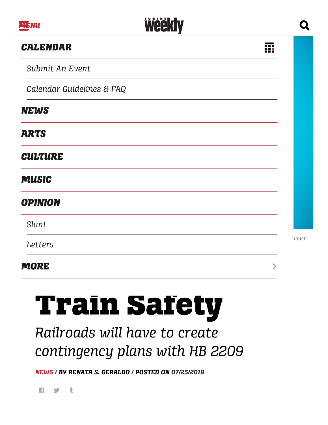#### *[CALENDAR](https://calendar.eugeneweekly.com/)*

*[Submit](http://onebox.scenethink.com/admin) An Event*

*Calendar [Guidelines](http://www.eugeneweekly.com/ew-calendar-faq/) & FAQ*

#### *[NEWS](http://www.eugeneweekly.com/category/news/)*

### *[ARTS](http://www.eugeneweekly.com/category/arts/)*

*[CULTURE](http://www.eugeneweekly.com/category/culture/)*

#### *[MUSIC](http://www.eugeneweekly.com/category/arts/music/)*

#### *[OPINION](http://www.eugeneweekly.com/category/news/opinion/)*

*[Slant](http://www.eugeneweekly.com/category/news/opinion/slant/)*

*[Letters](http://www.eugeneweekly.com/category/letters/)*

#### *MORE*

⋗

REP. MARTY WILDE *Photo by Todd Cooper*

薬

# $\overline{O}$ Train Safety

## *Railroads will have to create contingency plans with HB 2209*

**Weekly** 

*[NEWS](http://www.eugeneweekly.com/category/news/) / BY RENATA S. [GERALDO](http://www.eugeneweekly.com/author/renata-s-geraldo/) / POSTED ON [07/25/2019](http://www.eugeneweekly.com/2019/07/25/improving-oil-train-safety/)*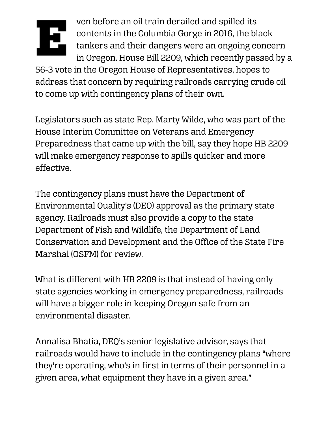

ven before an oil train derailed and spilled its contents in the Columbia Gorge in 2016, the black tankers and their dangers were an ongoing concern in Oregon. House Bill 2209, which recently passed by a

56-3 vote in the Oregon House of Representatives, hopes to address that concern by requiring railroads carrying crude oil to come up with contingency plans of their own.

Legislators such as state Rep. Marty Wilde, who was part of the House Interim Committee on Veterans and Emergency Preparedness that came up with the bill, say they hope HB 2209 will make emergency response to spills quicker and more effective.

The contingency plans must have the Department of Environmental Quality's (DEQ) approval as the primary state agency. Railroads must also provide a copy to the state Department of Fish and Wildlife, the Department of Land Conservation and Development and the Office of the State Fire Marshal (OSFM) for review.

What is different with HB 2209 is that instead of having only state agencies working in emergency preparedness, railroads will have a bigger role in keeping Oregon safe from an environmental disaster.

Annalisa Bhatia, DEQ's senior legislative advisor, says that railroads would have to include in the contingency plans "where they're operating, who's in first in terms of their personnel in a given area, what equipment they have in a given area."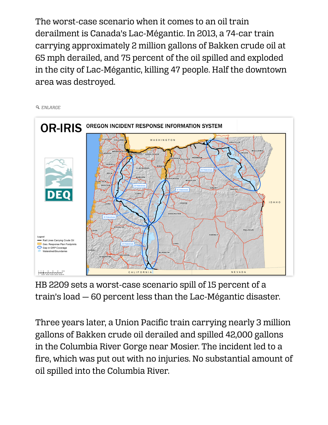The worst-case scenario when it comes to an oil train derailment is Canada's Lac-Mégantic. In 2013, a 74-car train carrying approximately 2 million gallons of Bakken crude oil at 65 mph derailed, and 75 percent of the oil spilled and exploded in the city of Lac-Mégantic, killing 47 people. Half the downtown area was destroyed.

 *[ENLARGE](https://www.eugeneweekly.com/wp-content/uploads/2019/07/20190725news-GRP-Gaps_v3.jpg)*



HB 2209 sets a worst-case scenario spill of 15 percent of a train's load — 60 percent less than the Lac-Mégantic disaster.

Three years later, a Union Pacific train carrying nearly 3 million gallons of Bakken crude oil derailed and spilled 42,000 gallons in the Columbia River Gorge near Mosier. The incident led to a fire, which was put out with no injuries. No substantial amount of oil spilled into the Columbia River.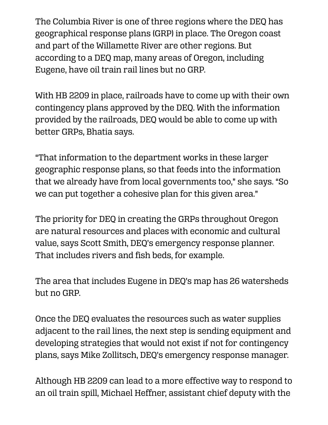The Columbia River is one of three regions where the DEQ has geographical response plans (GRP) in place. The Oregon coast and part of the Willamette River are other regions. But according to a DEQ map, many areas of Oregon, including Eugene, have oil train rail lines but no GRP.

With HB 2209 in place, railroads have to come up with their own contingency plans approved by the DEQ. With the information provided by the railroads, DEQ would be able to come up with better GRPs, Bhatia says.

"That information to the department works in these larger geographic response plans, so that feeds into the information that we already have from local governments too," she says. "So we can put together a cohesive plan for this given area."

The priority for DEQ in creating the GRPs throughout Oregon are natural resources and places with economic and cultural value, says Scott Smith, DEQ's emergency response planner. That includes rivers and fish beds, for example.

The area that includes Eugene in DEQ's map has 26 watersheds but no GRP.

Once the DEQ evaluates the resources such as water supplies adjacent to the rail lines, the next step is sending equipment and developing strategies that would not exist if not for contingency plans, says Mike Zollitsch, DEQ's emergency response manager.

Although HB 2209 can lead to a more effective way to respond to an oil train spill, Michael Heffner, assistant chief deputy with the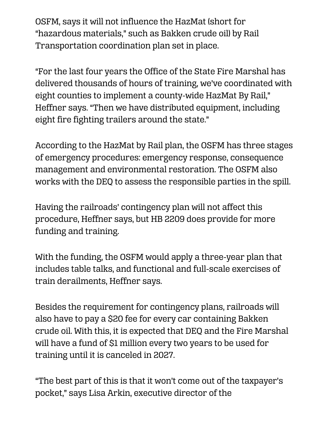OSFM, says it will not influence the HazMat (short for "hazardous materials," such as Bakken crude oil) by Rail Transportation coordination plan set in place.

"For the last four years the Office of the State Fire Marshal has delivered thousands of hours of training, we've coordinated with eight counties to implement a county-wide HazMat By Rail," Heffner says. "Then we have distributed equipment, including eight fire fighting trailers around the state."

According to the HazMat by Rail plan, the OSFM has three stages of emergency procedures: emergency response, consequence management and environmental restoration. The OSFM also works with the DEQ to assess the responsible parties in the spill.

Having the railroads' contingency plan will not affect this procedure, Heffner says, but HB 2209 does provide for more funding and training.

With the funding, the OSFM would apply a three-year plan that includes table talks, and functional and full-scale exercises of train derailments, Heffner says.

Besides the requirement for contingency plans, railroads will also have to pay a \$20 fee for every car containing Bakken crude oil. With this, it is expected that DEQ and the Fire Marshal will have a fund of \$1 million every two years to be used for training until it is canceled in 2027.

"The best part of this is that it won't come out of the taxpayer's pocket," says Lisa Arkin, executive director of the